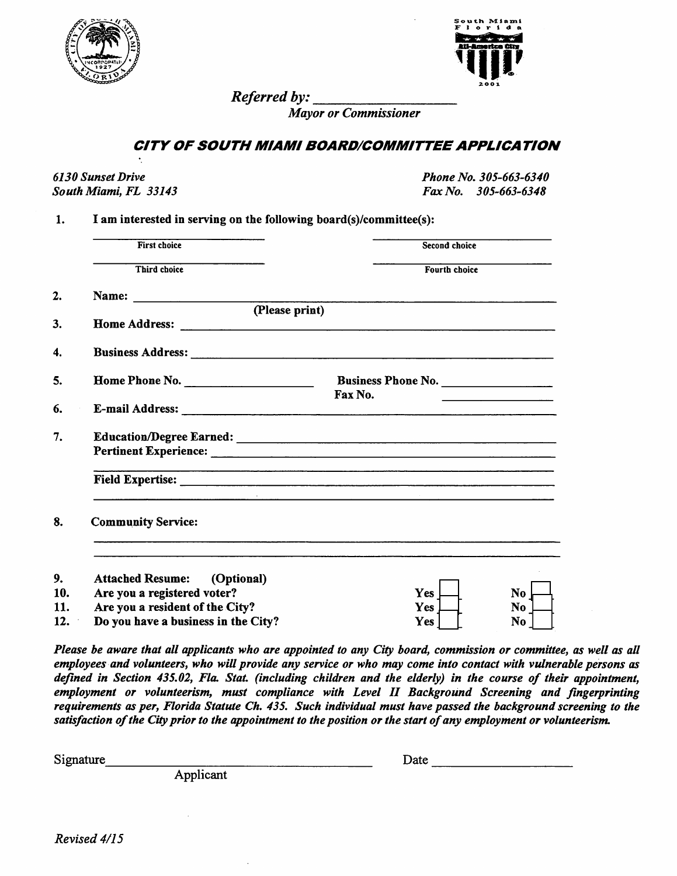



*Referred by:*

**Mayor or Commissioner**

## *CITY OF SOUTH MIAMI BOARD/COMMITTEEAPPLICATION*

**6130 Sunset Drive Phone No. 305-663-6340**

**South Miami, FL 33143 Fax No. 305-663-6348**

*1. I am interested in serving on the following board(s)/committee(s):*

| <b>First choice</b>                   | Second choice                                                                                                         |
|---------------------------------------|-----------------------------------------------------------------------------------------------------------------------|
| Third choice                          | <b>Fourth choice</b>                                                                                                  |
|                                       |                                                                                                                       |
| (Please print)                        |                                                                                                                       |
|                                       |                                                                                                                       |
|                                       |                                                                                                                       |
| Home Phone No.                        | Business Phone No.                                                                                                    |
|                                       | Fax No.                                                                                                               |
|                                       |                                                                                                                       |
|                                       |                                                                                                                       |
|                                       | <u> 1980 - Andrea Andrea Andrea Andrea Andrea Andrea Andrea Andrea Andrea Andrea Andrea Andrea Andrea Andrea Andr</u> |
| <b>Community Service:</b>             |                                                                                                                       |
| (Optional)<br><b>Attached Resume:</b> |                                                                                                                       |
| Are you a registered voter?           | Yes<br>No                                                                                                             |
| Are you a resident of the City?       | Yes<br>No.                                                                                                            |
| Do you have a business in the City?   | No<br><b>Yes</b>                                                                                                      |

**Please be aware that all applicants who are appointed to any City board, commission or committee, as well as all** employees and volunteers, who will provide any service or who may come into contact with vulnerable persons as **defined in Section 435.02, Flo. Stat (including children and the elderly) in the course of their appointment, employment or volunteerism, must compliance with Level II Background Screening and fingerprinting requirements as per, Florida Statute Ch. 435. Such individual must have passed the background screening to the satisfaction ofthe Cityprior to the appointment to the position or the start ofany employment or volunteerism.**

*Signature Date*

*Applicant*

**Revised 4/15**